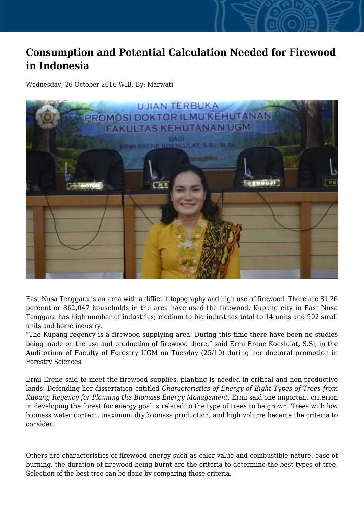## **Consumption and Potential Calculation Needed for Firewood in Indonesia**

Wednesday, 26 October 2016 WIB, By: Marwati



East Nusa Tenggara is an area with a difficult topography and high use of firewood. There are 81.26 percent or 862,047 households in the area have used the firewood. Kupang city in East Nusa Tenggara has high number of industries; medium to big industries total to 14 units and 902 small units and home industry.

"The Kupang regency is a firewood supplying area. During this time there have been no studies being made on the use and production of firewood there," said Ermi Erene Koeslulat, S.Si, in the Auditorium of Faculty of Forestry UGM on Tuesday (25/10) during her doctoral promotion in Forestry Sciences.

Ermi Erene said to meet the firewood supplies, planting is needed in critical and non-productive lands. Defending her dissertation entitled *Characteristics of Energy of Eight Types of Trees from Kupang Regency for Planning the Biomass Energy Management,* Ermi said one important criterion in developing the forest for energy goal is related to the type of trees to be grown. Trees with low biomass water content, maximum dry biomass production, and high volume became the criteria to consider.

Others are characteristics of firewood energy such as calor value and combustible nature, ease of burning, the duration of firewood being burnt are the criteria to determine the best types of tree. Selection of the best tree can be done by comparing those criteria.